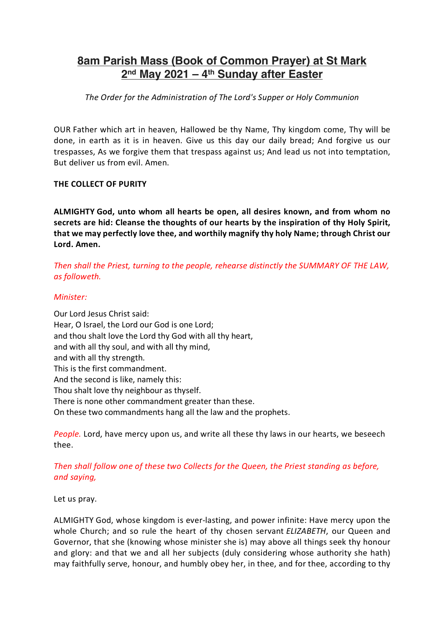# **8am Parish Mass (Book of Common Prayer) at St Mark 2nd May 2021 – 4th Sunday after Easter**

*The Order for the Administration of The Lord's Supper or Holy Communion*

OUR Father which art in heaven, Hallowed be thy Name, Thy kingdom come, Thy will be done, in earth as it is in heaven. Give us this day our daily bread; And forgive us our trespasses, As we forgive them that trespass against us; And lead us not into temptation, But deliver us from evil. Amen.

### **THE COLLECT OF PURITY**

**ALMIGHTY God, unto whom all hearts be open, all desires known, and from whom no secrets are hid: Cleanse the thoughts of our hearts by the inspiration of thy Holy Spirit, that we may perfectly love thee, and worthily magnify thy holy Name; through Christ our Lord. Amen.**

*Then shall the Priest, turning to the people, rehearse distinctly the SUMMARY OF THE LAW, as followeth.*

### *Minister:*

Our Lord Jesus Christ said: Hear, O Israel, the Lord our God is one Lord; and thou shalt love the Lord thy God with all thy heart, and with all thy soul, and with all thy mind, and with all thy strength. This is the first commandment. And the second is like, namely this: Thou shalt love thy neighbour as thyself. There is none other commandment greater than these. On these two commandments hang all the law and the prophets.

*People.* Lord, have mercy upon us, and write all these thy laws in our hearts, we beseech thee.

# *Then shall follow one of these two Collects for the Queen, the Priest standing as before, and saying,*

Let us pray.

ALMIGHTY God, whose kingdom is ever-lasting, and power infinite: Have mercy upon the whole Church; and so rule the heart of thy chosen servant *ELIZABETH*, our Queen and Governor, that she (knowing whose minister she is) may above all things seek thy honour and glory: and that we and all her subjects (duly considering whose authority she hath) may faithfully serve, honour, and humbly obey her, in thee, and for thee, according to thy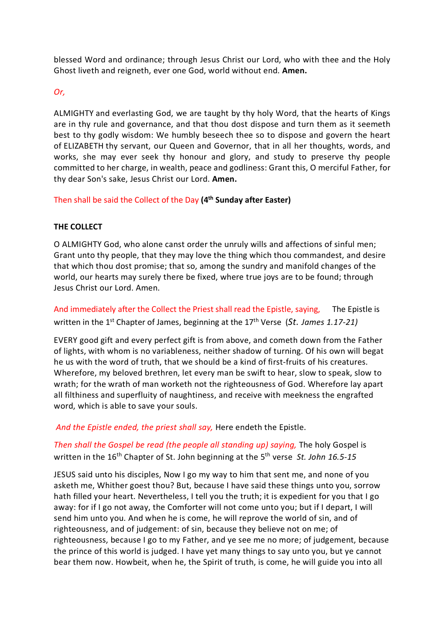blessed Word and ordinance; through Jesus Christ our Lord, who with thee and the Holy Ghost liveth and reigneth, ever one God, world without end. **Amen.**

# *Or,*

ALMIGHTY and everlasting God, we are taught by thy holy Word, that the hearts of Kings are in thy rule and governance, and that thou dost dispose and turn them as it seemeth best to thy godly wisdom: We humbly beseech thee so to dispose and govern the heart of ELIZABETH thy servant, our Queen and Governor, that in all her thoughts, words, and works, she may ever seek thy honour and glory, and study to preserve thy people committed to her charge, in wealth, peace and godliness: Grant this, O merciful Father, for thy dear Son's sake, Jesus Christ our Lord. **Amen.**

Then shall be said the Collect of the Day **(4th Sunday after Easter)**

### **THE COLLECT**

O ALMIGHTY God, who alone canst order the unruly wills and affections of sinful men; Grant unto thy people, that they may love the thing which thou commandest, and desire that which thou dost promise; that so, among the sundry and manifold changes of the world, our hearts may surely there be fixed, where true joys are to be found; through Jesus Christ our Lord. Amen.

And immediately after the Collect the Priest shall read the Epistle, saying, The Epistle is written in the 1<sup>st</sup> Chapter of James, beginning at the 17<sup>th</sup> Verse (St. James 1.17-21)

EVERY good gift and every perfect gift is from above, and cometh down from the Father of lights, with whom is no variableness, neither shadow of turning. Of his own will begat he us with the word of truth, that we should be a kind of first-fruits of his creatures. Wherefore, my beloved brethren, let every man be swift to hear, slow to speak, slow to wrath; for the wrath of man worketh not the righteousness of God. Wherefore lay apart all filthiness and superfluity of naughtiness, and receive with meekness the engrafted word, which is able to save your souls.

*And the Epistle ended, the priest shall say,* Here endeth the Epistle.

# *Then shall the Gospel be read (the people all standing up) saying,* The holy Gospel is written in the 16<sup>th</sup> Chapter of St. John beginning at the 5<sup>th</sup> verse *St. John 16.5-15*

JESUS said unto his disciples, Now I go my way to him that sent me, and none of you asketh me, Whither goest thou? But, because I have said these things unto you, sorrow hath filled your heart. Nevertheless, I tell you the truth; it is expedient for you that I go away: for if I go not away, the Comforter will not come unto you; but if I depart, I will send him unto you. And when he is come, he will reprove the world of sin, and of righteousness, and of judgement: of sin, because they believe not on me; of righteousness, because I go to my Father, and ye see me no more; of judgement, because the prince of this world is judged. I have yet many things to say unto you, but ye cannot bear them now. Howbeit, when he, the Spirit of truth, is come, he will guide you into all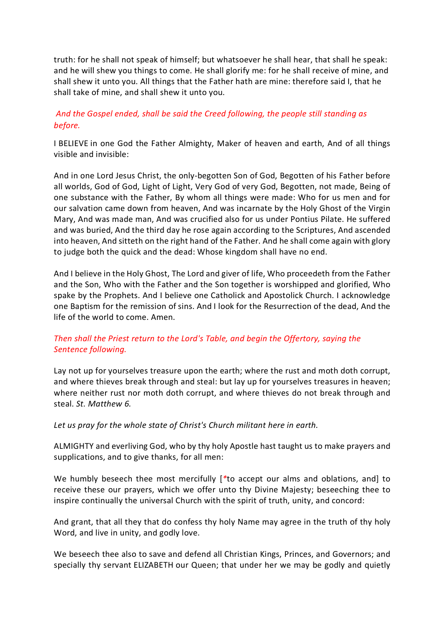truth: for he shall not speak of himself; but whatsoever he shall hear, that shall he speak: and he will shew you things to come. He shall glorify me: for he shall receive of mine, and shall shew it unto you. All things that the Father hath are mine: therefore said I, that he shall take of mine, and shall shew it unto you.

# *And the Gospel ended, shall be said the Creed following, the people still standing as before.*

I BELIEVE in one God the Father Almighty, Maker of heaven and earth, And of all things visible and invisible:

And in one Lord Jesus Christ, the only-begotten Son of God, Begotten of his Father before all worlds, God of God, Light of Light, Very God of very God, Begotten, not made, Being of one substance with the Father, By whom all things were made: Who for us men and for our salvation came down from heaven, And was incarnate by the Holy Ghost of the Virgin Mary, And was made man, And was crucified also for us under Pontius Pilate. He suffered and was buried, And the third day he rose again according to the Scriptures, And ascended into heaven, And sitteth on the right hand of the Father. And he shall come again with glory to judge both the quick and the dead: Whose kingdom shall have no end.

And I believe in the Holy Ghost, The Lord and giver of life, Who proceedeth from the Father and the Son, Who with the Father and the Son together is worshipped and glorified, Who spake by the Prophets. And I believe one Catholick and Apostolick Church. I acknowledge one Baptism for the remission of sins. And I look for the Resurrection of the dead, And the life of the world to come. Amen.

# *Then shall the Priest return to the Lord's Table, and begin the Offertory, saying the Sentence following.*

Lay not up for yourselves treasure upon the earth; where the rust and moth doth corrupt, and where thieves break through and steal: but lay up for yourselves treasures in heaven; where neither rust nor moth doth corrupt, and where thieves do not break through and steal. *St. Matthew 6.*

*Let us pray for the whole state of Christ's Church militant here in earth.*

ALMIGHTY and everliving God, who by thy holy Apostle hast taught us to make prayers and supplications, and to give thanks, for all men:

We humbly beseech thee most mercifully [*\**to accept our alms and oblations, and] to receive these our prayers, which we offer unto thy Divine Majesty; beseeching thee to inspire continually the universal Church with the spirit of truth, unity, and concord:

And grant, that all they that do confess thy holy Name may agree in the truth of thy holy Word, and live in unity, and godly love.

We beseech thee also to save and defend all Christian Kings, Princes, and Governors; and specially thy servant ELIZABETH our Queen; that under her we may be godly and quietly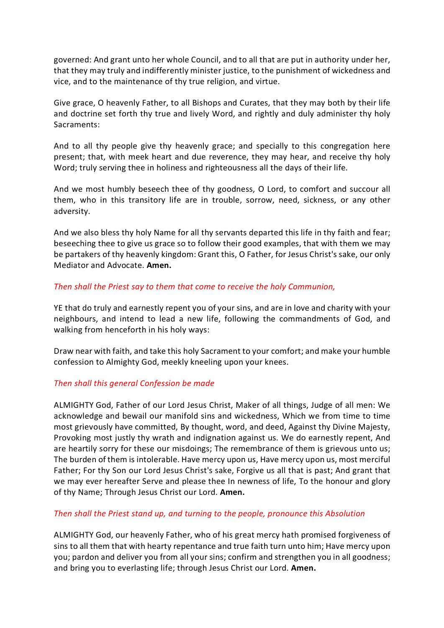governed: And grant unto her whole Council, and to all that are put in authority under her, that they may truly and indifferently minister justice, to the punishment of wickedness and vice, and to the maintenance of thy true religion, and virtue.

Give grace, O heavenly Father, to all Bishops and Curates, that they may both by their life and doctrine set forth thy true and lively Word, and rightly and duly administer thy holy Sacraments:

And to all thy people give thy heavenly grace; and specially to this congregation here present; that, with meek heart and due reverence, they may hear, and receive thy holy Word; truly serving thee in holiness and righteousness all the days of their life.

And we most humbly beseech thee of thy goodness, O Lord, to comfort and succour all them, who in this transitory life are in trouble, sorrow, need, sickness, or any other adversity.

And we also bless thy holy Name for all thy servants departed this life in thy faith and fear; beseeching thee to give us grace so to follow their good examples, that with them we may be partakers of thy heavenly kingdom: Grant this, O Father, for Jesus Christ's sake, our only Mediator and Advocate. **Amen.**

### *Then shall the Priest say to them that come to receive the holy Communion,*

YE that do truly and earnestly repent you of your sins, and are in love and charity with your neighbours, and intend to lead a new life, following the commandments of God, and walking from henceforth in his holy ways:

Draw near with faith, and take this holy Sacrament to your comfort; and make your humble confession to Almighty God, meekly kneeling upon your knees.

# *Then shall this general Confession be made*

ALMIGHTY God, Father of our Lord Jesus Christ, Maker of all things, Judge of all men: We acknowledge and bewail our manifold sins and wickedness, Which we from time to time most grievously have committed, By thought, word, and deed, Against thy Divine Majesty, Provoking most justly thy wrath and indignation against us. We do earnestly repent, And are heartily sorry for these our misdoings; The remembrance of them is grievous unto us; The burden of them is intolerable. Have mercy upon us, Have mercy upon us, most merciful Father; For thy Son our Lord Jesus Christ's sake, Forgive us all that is past; And grant that we may ever hereafter Serve and please thee In newness of life, To the honour and glory of thy Name; Through Jesus Christ our Lord. **Amen.**

# *Then shall the Priest stand up, and turning to the people, pronounce this Absolution*

ALMIGHTY God, our heavenly Father, who of his great mercy hath promised forgiveness of sins to all them that with hearty repentance and true faith turn unto him; Have mercy upon you; pardon and deliver you from all your sins; confirm and strengthen you in all goodness; and bring you to everlasting life; through Jesus Christ our Lord. **Amen.**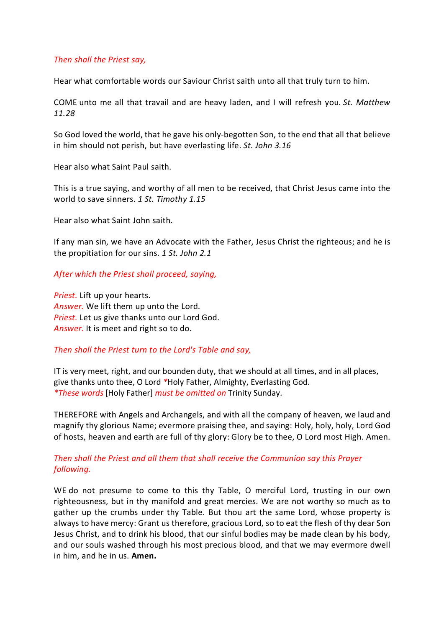### *Then shall the Priest say,*

Hear what comfortable words our Saviour Christ saith unto all that truly turn to him.

COME unto me all that travail and are heavy laden, and I will refresh you. *St. Matthew 11.28*

So God loved the world, that he gave his only-begotten Son, to the end that all that believe in him should not perish, but have everlasting life. *St. John 3.16*

Hear also what Saint Paul saith.

This is a true saying, and worthy of all men to be received, that Christ Jesus came into the world to save sinners. *1 St. Timothy 1.15*

Hear also what Saint John saith.

If any man sin, we have an Advocate with the Father, Jesus Christ the righteous; and he is the propitiation for our sins. *1 St. John 2.1*

#### *After which the Priest shall proceed, saying,*

*Priest.* Lift up your hearts. *Answer.* We lift them up unto the Lord. *Priest.* Let us give thanks unto our Lord God. *Answer.* It is meet and right so to do.

### *Then shall the Priest turn to the Lord's Table and say,*

IT is very meet, right, and our bounden duty, that we should at all times, and in all places, give thanks unto thee, O Lord *\**Holy Father, Almighty, Everlasting God. *\*These words* [Holy Father] *must be omitted on* Trinity Sunday.

THEREFORE with Angels and Archangels, and with all the company of heaven, we laud and magnify thy glorious Name; evermore praising thee, and saying: Holy, holy, holy, Lord God of hosts, heaven and earth are full of thy glory: Glory be to thee, O Lord most High. Amen.

### *Then shall the Priest and all them that shall receive the Communion say this Prayer following.*

WE do not presume to come to this thy Table, O merciful Lord, trusting in our own righteousness, but in thy manifold and great mercies. We are not worthy so much as to gather up the crumbs under thy Table. But thou art the same Lord, whose property is always to have mercy: Grant us therefore, gracious Lord, so to eat the flesh of thy dear Son Jesus Christ, and to drink his blood, that our sinful bodies may be made clean by his body, and our souls washed through his most precious blood, and that we may evermore dwell in him, and he in us. **Amen.**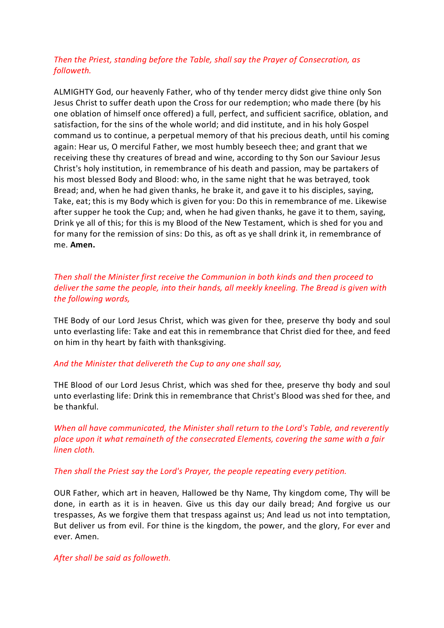# *Then the Priest, standing before the Table, shall say the Prayer of Consecration, as followeth.*

ALMIGHTY God, our heavenly Father, who of thy tender mercy didst give thine only Son Jesus Christ to suffer death upon the Cross for our redemption; who made there (by his one oblation of himself once offered) a full, perfect, and sufficient sacrifice, oblation, and satisfaction, for the sins of the whole world; and did institute, and in his holy Gospel command us to continue, a perpetual memory of that his precious death, until his coming again: Hear us, O merciful Father, we most humbly beseech thee; and grant that we receiving these thy creatures of bread and wine, according to thy Son our Saviour Jesus Christ's holy institution, in remembrance of his death and passion, may be partakers of his most blessed Body and Blood: who, in the same night that he was betrayed, took Bread; and, when he had given thanks, he brake it, and gave it to his disciples, saying, Take, eat; this is my Body which is given for you: Do this in remembrance of me. Likewise after supper he took the Cup; and, when he had given thanks, he gave it to them, saying, Drink ye all of this; for this is my Blood of the New Testament, which is shed for you and for many for the remission of sins: Do this, as oft as ye shall drink it, in remembrance of me. **Amen.**

# *Then shall the Minister first receive the Communion in both kinds and then proceed to deliver the same the people, into their hands, all meekly kneeling. The Bread is given with the following words,*

THE Body of our Lord Jesus Christ, which was given for thee, preserve thy body and soul unto everlasting life: Take and eat this in remembrance that Christ died for thee, and feed on him in thy heart by faith with thanksgiving.

### *And the Minister that delivereth the Cup to any one shall say,*

THE Blood of our Lord Jesus Christ, which was shed for thee, preserve thy body and soul unto everlasting life: Drink this in remembrance that Christ's Blood was shed for thee, and be thankful.

*When all have communicated, the Minister shall return to the Lord's Table, and reverently place upon it what remaineth of the consecrated Elements, covering the same with a fair linen cloth.*

### *Then shall the Priest say the Lord's Prayer, the people repeating every petition.*

OUR Father, which art in heaven, Hallowed be thy Name, Thy kingdom come, Thy will be done, in earth as it is in heaven. Give us this day our daily bread; And forgive us our trespasses, As we forgive them that trespass against us; And lead us not into temptation, But deliver us from evil. For thine is the kingdom, the power, and the glory, For ever and ever. Amen.

### *After shall be said as followeth.*